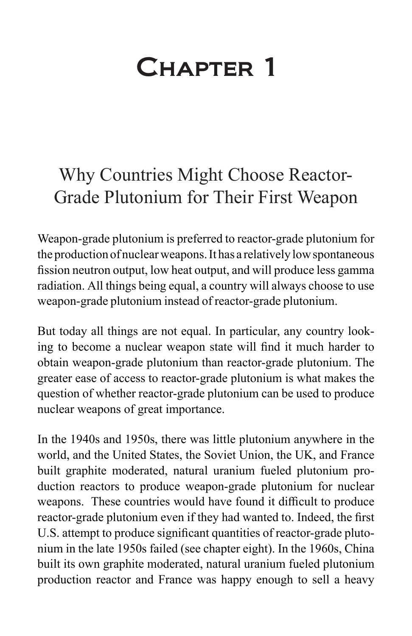## Chapter 1

## Why Countries Might Choose Reactor-Grade Plutonium for Their First Weapon

Weapon-grade plutonium is preferred to reactor-grade plutonium for the production of nuclear weapons. It has a relatively low spontaneous fission neutron output, low heat output, and will produce less gamma radiation. All things being equal, a country will always choose to use weapon-grade plutonium instead of reactor-grade plutonium.

But today all things are not equal. In particular, any country looking to become a nuclear weapon state will find it much harder to obtain weapon-grade plutonium than reactor-grade plutonium. The greater ease of access to reactor-grade plutonium is what makes the question of whether reactor-grade plutonium can be used to produce nuclear weapons of great importance.

In the 1940s and 1950s, there was little plutonium anywhere in the world, and the United States, the Soviet Union, the UK, and France built graphite moderated, natural uranium fueled plutonium production reactors to produce weapon-grade plutonium for nuclear weapons. These countries would have found it difficult to produce reactor-grade plutonium even if they had wanted to. Indeed, the first U.S. attempt to produce significant quantities of reactor-grade plutonium in the late 1950s failed (see chapter eight). In the 1960s, China built its own graphite moderated, natural uranium fueled plutonium production reactor and France was happy enough to sell a heavy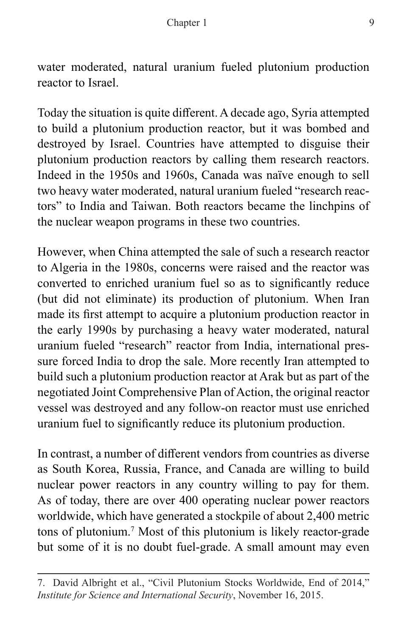water moderated, natural uranium fueled plutonium production reactor to Israel.

Today the situation is quite different. A decade ago, Syria attempted to build a plutonium production reactor, but it was bombed and destroyed by Israel. Countries have attempted to disguise their plutonium production reactors by calling them research reactors. Indeed in the 1950s and 1960s, Canada was naïve enough to sell two heavy water moderated, natural uranium fueled "research reactors" to India and Taiwan. Both reactors became the linchpins of the nuclear weapon programs in these two countries.

However, when China attempted the sale of such a research reactor to Algeria in the 1980s, concerns were raised and the reactor was converted to enriched uranium fuel so as to significantly reduce (but did not eliminate) its production of plutonium. When Iran made its first attempt to acquire a plutonium production reactor in the early 1990s by purchasing a heavy water moderated, natural uranium fueled "research" reactor from India, international pressure forced India to drop the sale. More recently Iran attempted to build such a plutonium production reactor at Arak but as part of the negotiated Joint Comprehensive Plan of Action, the original reactor vessel was destroyed and any follow-on reactor must use enriched uranium fuel to significantly reduce its plutonium production.

In contrast, a number of different vendors from countries as diverse as South Korea, Russia, France, and Canada are willing to build nuclear power reactors in any country willing to pay for them. As of today, there are over 400 operating nuclear power reactors worldwide, which have generated a stockpile of about 2,400 metric tons of plutonium.7 Most of this plutonium is likely reactor-grade but some of it is no doubt fuel-grade. A small amount may even

<sup>7.</sup> David Albright et al., "Civil Plutonium Stocks Worldwide, End of 2014," *Institute for Science and International Security*, November 16, 2015.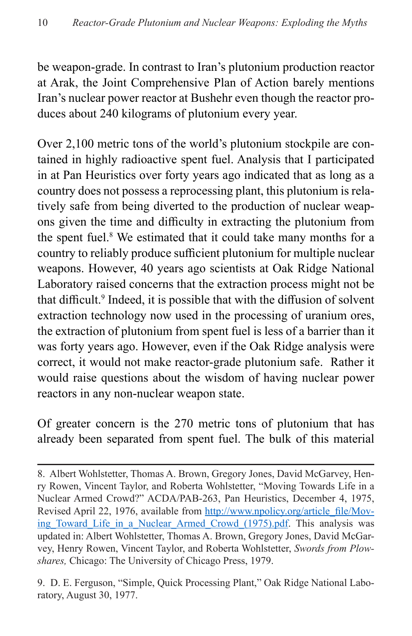be weapon-grade. In contrast to Iran's plutonium production reactor at Arak, the Joint Comprehensive Plan of Action barely mentions Iran's nuclear power reactor at Bushehr even though the reactor produces about 240 kilograms of plutonium every year.

Over 2,100 metric tons of the world's plutonium stockpile are contained in highly radioactive spent fuel. Analysis that I participated in at Pan Heuristics over forty years ago indicated that as long as a country does not possess a reprocessing plant, this plutonium is relatively safe from being diverted to the production of nuclear weapons given the time and difficulty in extracting the plutonium from the spent fuel.<sup>8</sup> We estimated that it could take many months for a country to reliably produce sufficient plutonium for multiple nuclear weapons. However, 40 years ago scientists at Oak Ridge National Laboratory raised concerns that the extraction process might not be that difficult.<sup>9</sup> Indeed, it is possible that with the diffusion of solvent extraction technology now used in the processing of uranium ores, the extraction of plutonium from spent fuel is less of a barrier than it was forty years ago. However, even if the Oak Ridge analysis were correct, it would not make reactor-grade plutonium safe. Rather it would raise questions about the wisdom of having nuclear power reactors in any non-nuclear weapon state.

Of greater concern is the 270 metric tons of plutonium that has already been separated from spent fuel. The bulk of this material

9. D. E. Ferguson, "Simple, Quick Processing Plant," Oak Ridge National Laboratory, August 30, 1977.

<sup>8.</sup> Albert Wohlstetter, Thomas A. Brown, Gregory Jones, David McGarvey, Henry Rowen, Vincent Taylor, and Roberta Wohlstetter, "Moving Towards Life in a Nuclear Armed Crowd?" ACDA/PAB-263, Pan Heuristics, December 4, 1975, Revised April 22, 1976, available from [http://www.npolicy.org/article\\_file/Mov](http://www.npolicy.org/article_file/Moving_Toward_Life_in_a_Nuclear_Armed_Crowd_(1975).pdf)ing Toward Life in a Nuclear Armed Crowd (1975).pdf. This analysis was updated in: Albert Wohlstetter, Thomas A. Brown, Gregory Jones, David McGarvey, Henry Rowen, Vincent Taylor, and Roberta Wohlstetter, *Swords from Plowshares,* Chicago: The University of Chicago Press, 1979.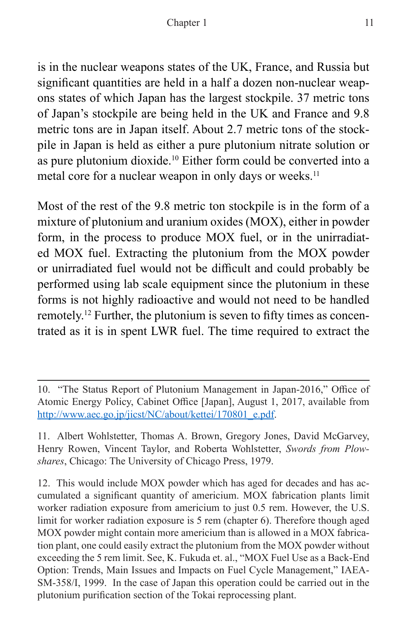is in the nuclear weapons states of the UK, France, and Russia but significant quantities are held in a half a dozen non-nuclear weapons states of which Japan has the largest stockpile. 37 metric tons of Japan's stockpile are being held in the UK and France and 9.8 metric tons are in Japan itself. About 2.7 metric tons of the stockpile in Japan is held as either a pure plutonium nitrate solution or as pure plutonium dioxide.10 Either form could be converted into a metal core for a nuclear weapon in only days or weeks.<sup>11</sup>

Most of the rest of the 9.8 metric ton stockpile is in the form of a mixture of plutonium and uranium oxides (MOX), either in powder form, in the process to produce MOX fuel, or in the unirradiated MOX fuel. Extracting the plutonium from the MOX powder or unirradiated fuel would not be difficult and could probably be performed using lab scale equipment since the plutonium in these forms is not highly radioactive and would not need to be handled remotely.12 Further, the plutonium is seven to fifty times as concentrated as it is in spent LWR fuel. The time required to extract the

12. This would include MOX powder which has aged for decades and has accumulated a significant quantity of americium. MOX fabrication plants limit worker radiation exposure from americium to just 0.5 rem. However, the U.S. limit for worker radiation exposure is 5 rem (chapter 6). Therefore though aged MOX powder might contain more americium than is allowed in a MOX fabrication plant, one could easily extract the plutonium from the MOX powder without exceeding the 5 rem limit. See, K. Fukuda et. al., "MOX Fuel Use as a Back-End Option: Trends, Main Issues and Impacts on Fuel Cycle Management," IAEA-SM-358/I, 1999. In the case of Japan this operation could be carried out in the plutonium purification section of the Tokai reprocessing plant.

<sup>10. &</sup>quot;The Status Report of Plutonium Management in Japan-2016," Office of Atomic Energy Policy, Cabinet Office [Japan], August 1, 2017, available from [http://www.aec.go.jp/jicst/NC/about/kettei/170801\\_e.pdf.](http://www.aec.go.jp/jicst/NC/about/kettei/170801_e.pdf)

<sup>11.</sup> Albert Wohlstetter, Thomas A. Brown, Gregory Jones, David McGarvey, Henry Rowen, Vincent Taylor, and Roberta Wohlstetter, *Swords from Plowshares*, Chicago: The University of Chicago Press, 1979.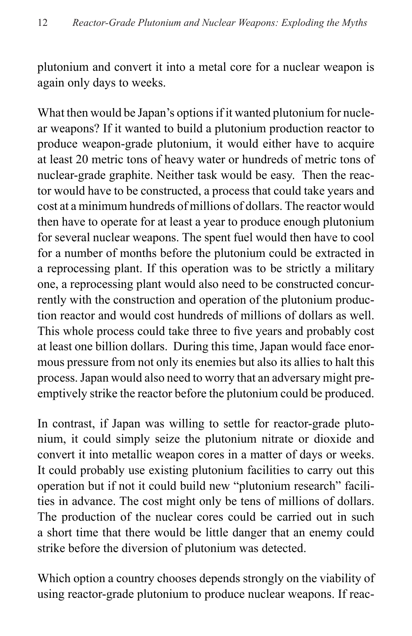plutonium and convert it into a metal core for a nuclear weapon is again only days to weeks.

What then would be Japan's options if it wanted plutonium for nuclear weapons? If it wanted to build a plutonium production reactor to produce weapon-grade plutonium, it would either have to acquire at least 20 metric tons of heavy water or hundreds of metric tons of nuclear-grade graphite. Neither task would be easy. Then the reactor would have to be constructed, a process that could take years and cost at a minimum hundreds of millions of dollars. The reactor would then have to operate for at least a year to produce enough plutonium for several nuclear weapons. The spent fuel would then have to cool for a number of months before the plutonium could be extracted in a reprocessing plant. If this operation was to be strictly a military one, a reprocessing plant would also need to be constructed concurrently with the construction and operation of the plutonium production reactor and would cost hundreds of millions of dollars as well. This whole process could take three to five years and probably cost at least one billion dollars. During this time, Japan would face enormous pressure from not only its enemies but also its allies to halt this process. Japan would also need to worry that an adversary might preemptively strike the reactor before the plutonium could be produced.

In contrast, if Japan was willing to settle for reactor-grade plutonium, it could simply seize the plutonium nitrate or dioxide and convert it into metallic weapon cores in a matter of days or weeks. It could probably use existing plutonium facilities to carry out this operation but if not it could build new "plutonium research" facilities in advance. The cost might only be tens of millions of dollars. The production of the nuclear cores could be carried out in such a short time that there would be little danger that an enemy could strike before the diversion of plutonium was detected.

Which option a country chooses depends strongly on the viability of using reactor-grade plutonium to produce nuclear weapons. If reac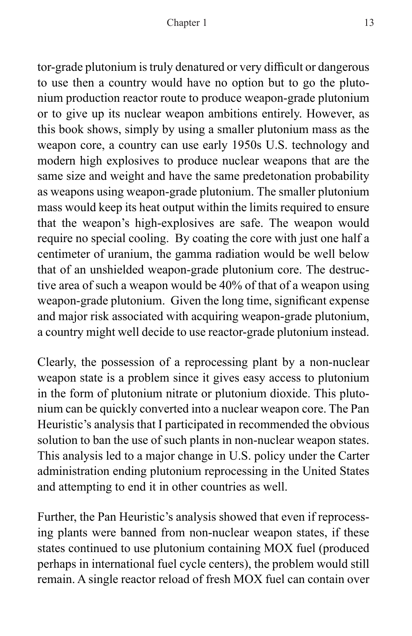tor-grade plutonium is truly denatured or very difficult or dangerous to use then a country would have no option but to go the plutonium production reactor route to produce weapon-grade plutonium or to give up its nuclear weapon ambitions entirely. However, as this book shows, simply by using a smaller plutonium mass as the weapon core, a country can use early 1950s U.S. technology and modern high explosives to produce nuclear weapons that are the same size and weight and have the same predetonation probability as weapons using weapon-grade plutonium. The smaller plutonium mass would keep its heat output within the limits required to ensure that the weapon's high-explosives are safe. The weapon would require no special cooling. By coating the core with just one half a centimeter of uranium, the gamma radiation would be well below that of an unshielded weapon-grade plutonium core. The destructive area of such a weapon would be 40% of that of a weapon using weapon-grade plutonium. Given the long time, significant expense and major risk associated with acquiring weapon-grade plutonium, a country might well decide to use reactor-grade plutonium instead.

Clearly, the possession of a reprocessing plant by a non-nuclear weapon state is a problem since it gives easy access to plutonium in the form of plutonium nitrate or plutonium dioxide. This plutonium can be quickly converted into a nuclear weapon core. The Pan Heuristic's analysis that I participated in recommended the obvious solution to ban the use of such plants in non-nuclear weapon states. This analysis led to a major change in U.S. policy under the Carter administration ending plutonium reprocessing in the United States and attempting to end it in other countries as well.

Further, the Pan Heuristic's analysis showed that even if reprocessing plants were banned from non-nuclear weapon states, if these states continued to use plutonium containing MOX fuel (produced perhaps in international fuel cycle centers), the problem would still remain. A single reactor reload of fresh MOX fuel can contain over